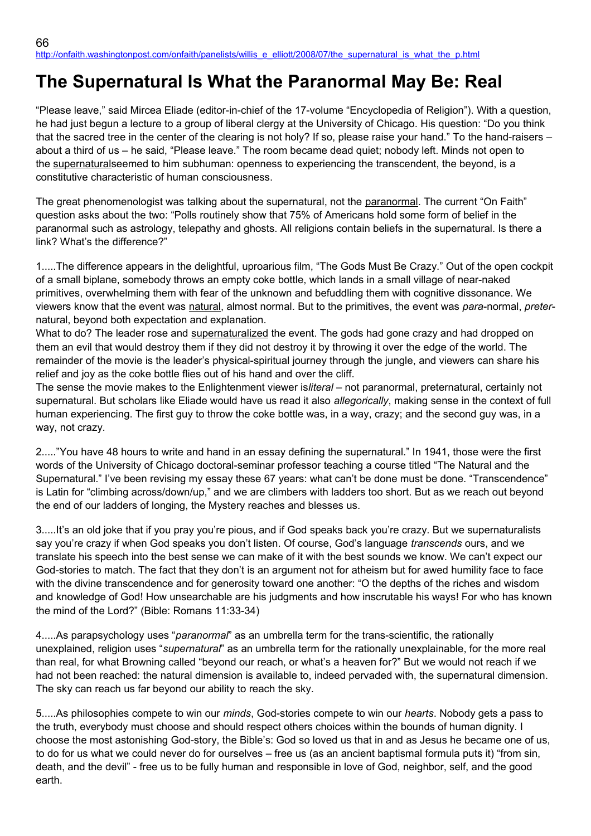## **The Supernatural Is What the Paranormal May Be: Real**

"Please leave," said Mircea Eliade (editor-in-chief of the 17-volume "Encyclopedia of Religion"). With a question, he had just begun a lecture to a group of liberal clergy at the University of Chicago. His question: "Do you think that the sacred tree in the center of the clearing is not holy? If so, please raise your hand." To the hand-raisers – about a third of us – he said, "Please leave." The room became dead quiet; nobody left. Minds not open to the supernaturalseemed to him subhuman: openness to experiencing the transcendent, the beyond, is a constitutive characteristic of human consciousness.

The great phenomenologist was talking about the supernatural, not the paranormal. The current "On Faith" question asks about the two: "Polls routinely show that 75% of Americans hold some form of belief in the paranormal such as astrology, telepathy and ghosts. All religions contain beliefs in the supernatural. Is there a link? What's the difference?"

1.....The difference appears in the delightful, uproarious film, "The Gods Must Be Crazy." Out of the open cockpit of a small biplane, somebody throws an empty coke bottle, which lands in a small village of near-naked primitives, overwhelming them with fear of the unknown and befuddling them with cognitive dissonance. We viewers know that the event was natural, almost normal. But to the primitives, the event was *para*-normal, *preter*natural, beyond both expectation and explanation.

What to do? The leader rose and supernaturalized the event. The gods had gone crazy and had dropped on them an evil that would destroy them if they did not destroy it by throwing it over the edge of the world. The remainder of the movie is the leader's physical-spiritual journey through the jungle, and viewers can share his relief and joy as the coke bottle flies out of his hand and over the cliff.

The sense the movie makes to the Enlightenment viewer is*literal* – not paranormal, preternatural, certainly not supernatural. But scholars like Eliade would have us read it also *allegorically*, making sense in the context of full human experiencing. The first guy to throw the coke bottle was, in a way, crazy; and the second guy was, in a way, not crazy.

2....."You have 48 hours to write and hand in an essay defining the supernatural." In 1941, those were the first words of the University of Chicago doctoral-seminar professor teaching a course titled "The Natural and the Supernatural." I've been revising my essay these 67 years: what can't be done must be done. "Transcendence" is Latin for "climbing across/down/up," and we are climbers with ladders too short. But as we reach out beyond the end of our ladders of longing, the Mystery reaches and blesses us.

3.....It's an old joke that if you pray you're pious, and if God speaks back you're crazy. But we supernaturalists say you're crazy if when God speaks you don't listen. Of course, God's language *transcends* ours, and we translate his speech into the best sense we can make of it with the best sounds we know. We can't expect our God-stories to match. The fact that they don't is an argument not for atheism but for awed humility face to face with the divine transcendence and for generosity toward one another: "O the depths of the riches and wisdom and knowledge of God! How unsearchable are his judgments and how inscrutable his ways! For who has known the mind of the Lord?" (Bible: Romans 11:33-34)

4.....As parapsychology uses "*paranormal*" as an umbrella term for the trans-scientific, the rationally unexplained, religion uses "*supernatural*" as an umbrella term for the rationally unexplainable, for the more real than real, for what Browning called "beyond our reach, or what's a heaven for?" But we would not reach if we had not been reached: the natural dimension is available to, indeed pervaded with, the supernatural dimension. The sky can reach us far beyond our ability to reach the sky.

5.....As philosophies compete to win our *minds*, God-stories compete to win our *hearts*. Nobody gets a pass to the truth, everybody must choose and should respect others choices within the bounds of human dignity. I choose the most astonishing God-story, the Bible's: God so loved us that in and as Jesus he became one of us, to do for us what we could never do for ourselves – free us (as an ancient baptismal formula puts it) "from sin, death, and the devil" - free us to be fully human and responsible in love of God, neighbor, self, and the good earth.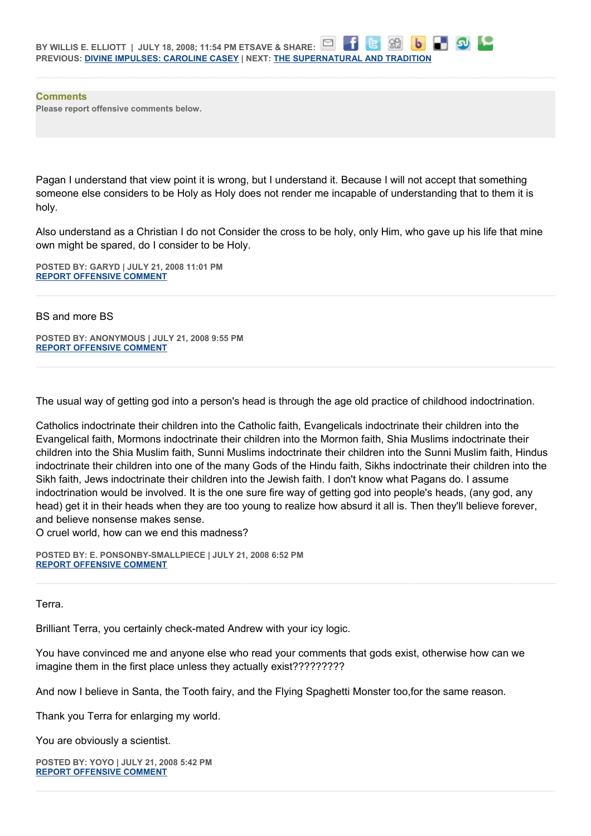

**Comments Please report offensive comments below.**

Pagan I understand that view point it is wrong, but I understand it. Because I will not accept that something someone else considers to be Holy as Holy does not render me incapable of understanding that to them it is holy.

Also understand as a Christian I do not Consider the cross to be holy, only Him, who gave up his life that mine own might be spared, do I consider to be Holy.

**POSTED BY: GARYD | JULY 21, 2008 11:01 PM [REPORT OFFENSIVE COMMENT](mailto:blogs@washingtonpost.com?subject=On%20Faith%20Panelists%20Blog%20%20%7C%20%20Garyd%20%20%7C%20%20The%20Supernatural%20Is%20What%20the%20Paranormal%20May%20Be:%20Real%20%20%7C%20%204296713&body=%0D%0D%0D%0D%0D================%0D?__mode=view%26_type=comment%26id=4296713%26blog_id=618)**

BS and more BS

**POSTED BY: ANONYMOUS | JULY 21, 2008 9:55 PM [REPORT OFFENSIVE COMMENT](mailto:blogs@washingtonpost.com?subject=On%20Faith%20Panelists%20Blog%20%20%7C%20%20Anonymous%20%20%7C%20%20The%20Supernatural%20Is%20What%20the%20Paranormal%20May%20Be:%20Real%20%20%7C%20%204295870&body=%0D%0D%0D%0D%0D================%0D?__mode=view%26_type=comment%26id=4295870%26blog_id=618)**

The usual way of getting god into a person's head is through the age old practice of childhood indoctrination.

Catholics indoctrinate their children into the Catholic faith, Evangelicals indoctrinate their children into the Evangelical faith, Mormons indoctrinate their children into the Mormon faith, Shia Muslims indoctrinate their children into the Shia Muslim faith, Sunni Muslims indoctrinate their children into the Sunni Muslim faith, Hindus indoctrinate their children into one of the many Gods of the Hindu faith, Sikhs indoctrinate their children into the Sikh faith, Jews indoctrinate their children into the Jewish faith. I don't know what Pagans do. I assume indoctrination would be involved. It is the one sure fire way of getting god into people's heads, (any god, any head) get it in their heads when they are too young to realize how absurd it all is. Then they'll believe forever, and believe nonsense makes sense.

O cruel world, how can we end this madness?

**POSTED BY: E. PONSONBY-SMALLPIECE | JULY 21, 2008 6:52 PM [REPORT OFFENSIVE COMMENT](mailto:blogs@washingtonpost.com?subject=On%20Faith%20Panelists%20Blog%20%20%7C%20%20E.%20Ponsonby-Smallpiece%20%20%7C%20%20The%20Supernatural%20Is%20What%20the%20Paranormal%20May%20Be:%20Real%20%20%7C%20%204293885&body=%0D%0D%0D%0D%0D================%0D?__mode=view%26_type=comment%26id=4293885%26blog_id=618)**

Terra.

Brilliant Terra, you certainly check-mated Andrew with your icy logic.

You have convinced me and anyone else who read your comments that gods exist, otherwise how can we imagine them in the first place unless they actually exist?????????

And now I believe in Santa, the Tooth fairy, and the Flying Spaghetti Monster too,for the same reason.

Thank you Terra for enlarging my world.

You are obviously a scientist.

**POSTED BY: YOYO | JULY 21, 2008 5:42 PM [REPORT OFFENSIVE COMMENT](mailto:blogs@washingtonpost.com?subject=On%20Faith%20Panelists%20Blog%20%20%7C%20%20yoyo%20%20%7C%20%20The%20Supernatural%20Is%20What%20the%20Paranormal%20May%20Be:%20Real%20%20%7C%20%204293111&body=%0D%0D%0D%0D%0D================%0D?__mode=view%26_type=comment%26id=4293111%26blog_id=618)**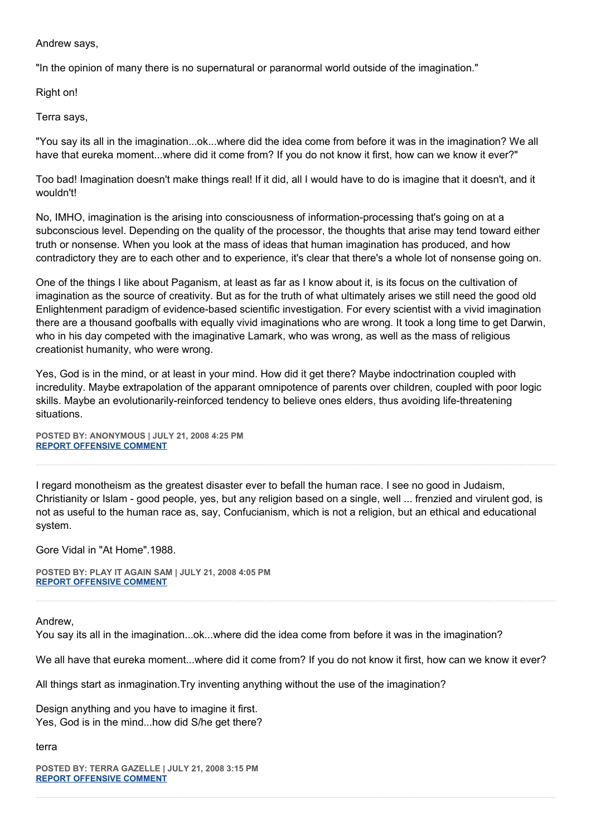Andrew says,

"In the opinion of many there is no supernatural or paranormal world outside of the imagination."

Right on!

Terra says,

"You say its all in the imagination...ok...where did the idea come from before it was in the imagination? We all have that eureka moment...where did it come from? If you do not know it first, how can we know it ever?"

Too bad! Imagination doesn't make things real! If it did, all I would have to do is imagine that it doesn't, and it wouldn't!

No, IMHO, imagination is the arising into consciousness of information-processing that's going on at a subconscious level. Depending on the quality of the processor, the thoughts that arise may tend toward either truth or nonsense. When you look at the mass of ideas that human imagination has produced, and how contradictory they are to each other and to experience, it's clear that there's a whole lot of nonsense going on.

One of the things I like about Paganism, at least as far as I know about it, is its focus on the cultivation of imagination as the source of creativity. But as for the truth of what ultimately arises we still need the good old Enlightenment paradigm of evidence-based scientific investigation. For every scientist with a vivid imagination there are a thousand goofballs with equally vivid imaginations who are wrong. It took a long time to get Darwin, who in his day competed with the imaginative Lamark, who was wrong, as well as the mass of religious creationist humanity, who were wrong.

Yes, God is in the mind, or at least in your mind. How did it get there? Maybe indoctrination coupled with incredulity. Maybe extrapolation of the apparant omnipotence of parents over children, coupled with poor logic skills. Maybe an evolutionarily-reinforced tendency to believe ones elders, thus avoiding life-threatening situations.

**POSTED BY: ANONYMOUS | JULY 21, 2008 4:25 PM [REPORT OFFENSIVE COMMENT](mailto:blogs@washingtonpost.com?subject=On%20Faith%20Panelists%20Blog%20%20%7C%20%20Anonymous%20%20%7C%20%20The%20Supernatural%20Is%20What%20the%20Paranormal%20May%20Be:%20Real%20%20%7C%20%204292297&body=%0D%0D%0D%0D%0D================%0D?__mode=view%26_type=comment%26id=4292297%26blog_id=618)**

I regard monotheism as the greatest disaster ever to befall the human race. I see no good in Judaism, Christianity or Islam - good people, yes, but any religion based on a single, well ... frenzied and virulent god, is not as useful to the human race as, say, Confucianism, which is not a religion, but an ethical and educational system.

Gore Vidal in "At Home".1988.

**POSTED BY: PLAY IT AGAIN SAM | JULY 21, 2008 4:05 PM [REPORT OFFENSIVE COMMENT](mailto:blogs@washingtonpost.com?subject=On%20Faith%20Panelists%20Blog%20%20%7C%20%20play%20it%20again%20sam%20%20%7C%20%20The%20Supernatural%20Is%20What%20the%20Paranormal%20May%20Be:%20Real%20%20%7C%20%204292099&body=%0D%0D%0D%0D%0D================%0D?__mode=view%26_type=comment%26id=4292099%26blog_id=618)**

Andrew,

You say its all in the imagination...ok...where did the idea come from before it was in the imagination?

We all have that eureka moment...where did it come from? If you do not know it first, how can we know it ever?

All things start as inmagination.Try inventing anything without the use of the imagination?

Design anything and you have to imagine it first. Yes, God is in the mind...how did S/he get there?

terra

**POSTED BY: TERRA GAZELLE | JULY 21, 2008 3:15 PM [REPORT OFFENSIVE COMMENT](mailto:blogs@washingtonpost.com?subject=On%20Faith%20Panelists%20Blog%20%20%7C%20%20Terra%20Gazelle%20%20%7C%20%20The%20Supernatural%20Is%20What%20the%20Paranormal%20May%20Be:%20Real%20%20%7C%20%204291538&body=%0D%0D%0D%0D%0D================%0D?__mode=view%26_type=comment%26id=4291538%26blog_id=618)**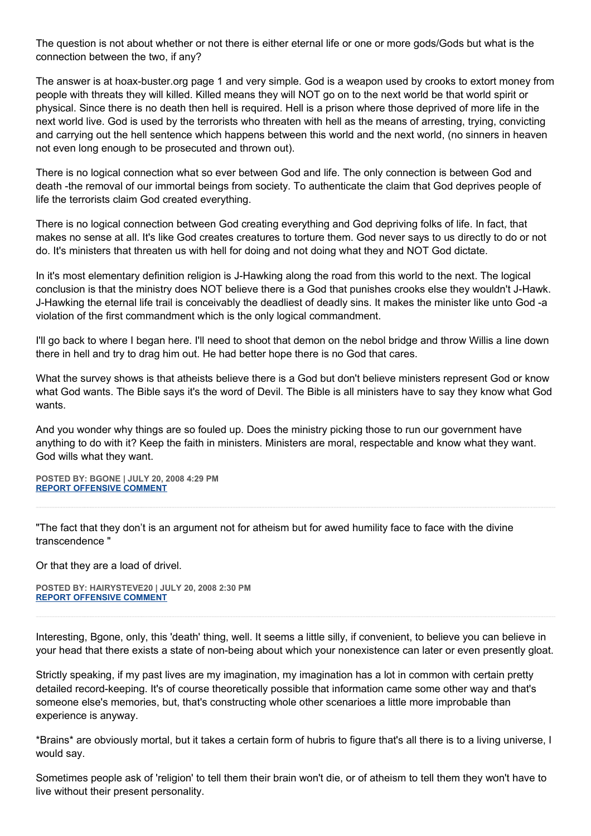The question is not about whether or not there is either eternal life or one or more gods/Gods but what is the connection between the two, if any?

The answer is at hoax-buster.org page 1 and very simple. God is a weapon used by crooks to extort money from people with threats they will killed. Killed means they will NOT go on to the next world be that world spirit or physical. Since there is no death then hell is required. Hell is a prison where those deprived of more life in the next world live. God is used by the terrorists who threaten with hell as the means of arresting, trying, convicting and carrying out the hell sentence which happens between this world and the next world, (no sinners in heaven not even long enough to be prosecuted and thrown out).

There is no logical connection what so ever between God and life. The only connection is between God and death -the removal of our immortal beings from society. To authenticate the claim that God deprives people of life the terrorists claim God created everything.

There is no logical connection between God creating everything and God depriving folks of life. In fact, that makes no sense at all. It's like God creates creatures to torture them. God never says to us directly to do or not do. It's ministers that threaten us with hell for doing and not doing what they and NOT God dictate.

In it's most elementary definition religion is J-Hawking along the road from this world to the next. The logical conclusion is that the ministry does NOT believe there is a God that punishes crooks else they wouldn't J-Hawk. J-Hawking the eternal life trail is conceivably the deadliest of deadly sins. It makes the minister like unto God -a violation of the first commandment which is the only logical commandment.

I'll go back to where I began here. I'll need to shoot that demon on the nebol bridge and throw Willis a line down there in hell and try to drag him out. He had better hope there is no God that cares.

What the survey shows is that atheists believe there is a God but don't believe ministers represent God or know what God wants. The Bible says it's the word of Devil. The Bible is all ministers have to say they know what God wants.

And you wonder why things are so fouled up. Does the ministry picking those to run our government have anything to do with it? Keep the faith in ministers. Ministers are moral, respectable and know what they want. God wills what they want.

**POSTED BY: BGONE | JULY 20, 2008 4:29 PM [REPORT OFFENSIVE COMMENT](mailto:blogs@washingtonpost.com?subject=On%20Faith%20Panelists%20Blog%20%20%7C%20%20BGone%20%20%7C%20%20The%20Supernatural%20Is%20What%20the%20Paranormal%20May%20Be:%20Real%20%20%7C%20%204276859&body=%0D%0D%0D%0D%0D================%0D?__mode=view%26_type=comment%26id=4276859%26blog_id=618)**

"The fact that they don't is an argument not for atheism but for awed humility face to face with the divine transcendence "

Or that they are a load of drivel.

**POSTED BY: HAIRYSTEVE20 | JULY 20, 2008 2:30 PM [REPORT OFFENSIVE COMMENT](mailto:blogs@washingtonpost.com?subject=On%20Faith%20Panelists%20Blog%20%20%7C%20%20Hairysteve20%20%20%7C%20%20The%20Supernatural%20Is%20What%20the%20Paranormal%20May%20Be:%20Real%20%20%7C%20%204275434&body=%0D%0D%0D%0D%0D================%0D?__mode=view%26_type=comment%26id=4275434%26blog_id=618)**

Interesting, Bgone, only, this 'death' thing, well. It seems a little silly, if convenient, to believe you can believe in your head that there exists a state of non-being about which your nonexistence can later or even presently gloat.

Strictly speaking, if my past lives are my imagination, my imagination has a lot in common with certain pretty detailed record-keeping. It's of course theoretically possible that information came some other way and that's someone else's memories, but, that's constructing whole other scenarioes a little more improbable than experience is anyway.

\*Brains\* are obviously mortal, but it takes a certain form of hubris to figure that's all there is to a living universe, I would say.

Sometimes people ask of 'religion' to tell them their brain won't die, or of atheism to tell them they won't have to live without their present personality.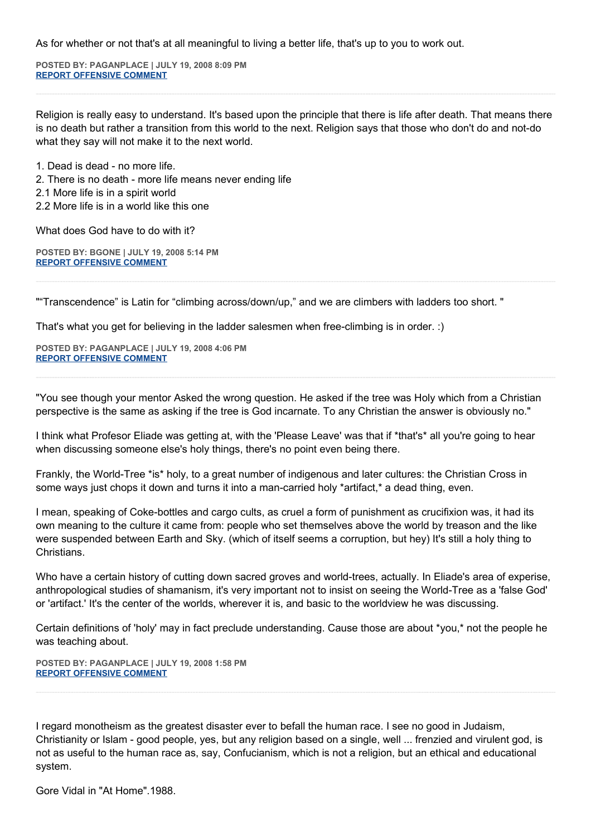As for whether or not that's at all meaningful to living a better life, that's up to you to work out.

**POSTED BY: PAGANPLACE | JULY 19, 2008 8:09 PM [REPORT OFFENSIVE COMMENT](mailto:blogs@washingtonpost.com?subject=On%20Faith%20Panelists%20Blog%20%20%7C%20%20Paganplace%20%20%7C%20%20The%20Supernatural%20Is%20What%20the%20Paranormal%20May%20Be:%20Real%20%20%7C%20%204263489&body=%0D%0D%0D%0D%0D================%0D?__mode=view%26_type=comment%26id=4263489%26blog_id=618)**

Religion is really easy to understand. It's based upon the principle that there is life after death. That means there is no death but rather a transition from this world to the next. Religion says that those who don't do and not-do what they say will not make it to the next world.

1. Dead is dead - no more life.

2. There is no death - more life means never ending life

2.1 More life is in a spirit world

2.2 More life is in a world like this one

What does God have to do with it?

**POSTED BY: BGONE | JULY 19, 2008 5:14 PM [REPORT OFFENSIVE COMMENT](mailto:blogs@washingtonpost.com?subject=On%20Faith%20Panelists%20Blog%20%20%7C%20%20BGone%20%20%7C%20%20The%20Supernatural%20Is%20What%20the%20Paranormal%20May%20Be:%20Real%20%20%7C%20%204261735&body=%0D%0D%0D%0D%0D================%0D?__mode=view%26_type=comment%26id=4261735%26blog_id=618)**

""Transcendence" is Latin for "climbing across/down/up," and we are climbers with ladders too short. "

That's what you get for believing in the ladder salesmen when free-climbing is in order. :)

**POSTED BY: PAGANPLACE | JULY 19, 2008 4:06 PM [REPORT OFFENSIVE COMMENT](mailto:blogs@washingtonpost.com?subject=On%20Faith%20Panelists%20Blog%20%20%7C%20%20Paganplace%20%20%7C%20%20The%20Supernatural%20Is%20What%20the%20Paranormal%20May%20Be:%20Real%20%20%7C%20%204261071&body=%0D%0D%0D%0D%0D================%0D?__mode=view%26_type=comment%26id=4261071%26blog_id=618)**

"You see though your mentor Asked the wrong question. He asked if the tree was Holy which from a Christian perspective is the same as asking if the tree is God incarnate. To any Christian the answer is obviously no."

I think what Profesor Eliade was getting at, with the 'Please Leave' was that if \*that's\* all you're going to hear when discussing someone else's holy things, there's no point even being there.

Frankly, the World-Tree \*is\* holy, to a great number of indigenous and later cultures: the Christian Cross in some ways just chops it down and turns it into a man-carried holy \*artifact,\* a dead thing, even.

I mean, speaking of Coke-bottles and cargo cults, as cruel a form of punishment as crucifixion was, it had its own meaning to the culture it came from: people who set themselves above the world by treason and the like were suspended between Earth and Sky. (which of itself seems a corruption, but hey) It's still a holy thing to Christians.

Who have a certain history of cutting down sacred groves and world-trees, actually. In Eliade's area of experise, anthropological studies of shamanism, it's very important not to insist on seeing the World-Tree as a 'false God' or 'artifact.' It's the center of the worlds, wherever it is, and basic to the worldview he was discussing.

Certain definitions of 'holy' may in fact preclude understanding. Cause those are about \*you,\* not the people he was teaching about.

**POSTED BY: PAGANPLACE | JULY 19, 2008 1:58 PM [REPORT OFFENSIVE COMMENT](mailto:blogs@washingtonpost.com?subject=On%20Faith%20Panelists%20Blog%20%20%7C%20%20Paganplace%20%20%7C%20%20The%20Supernatural%20Is%20What%20the%20Paranormal%20May%20Be:%20Real%20%20%7C%20%204259767&body=%0D%0D%0D%0D%0D================%0D?__mode=view%26_type=comment%26id=4259767%26blog_id=618)**

I regard monotheism as the greatest disaster ever to befall the human race. I see no good in Judaism, Christianity or Islam - good people, yes, but any religion based on a single, well ... frenzied and virulent god, is not as useful to the human race as, say, Confucianism, which is not a religion, but an ethical and educational system.

Gore Vidal in "At Home".1988.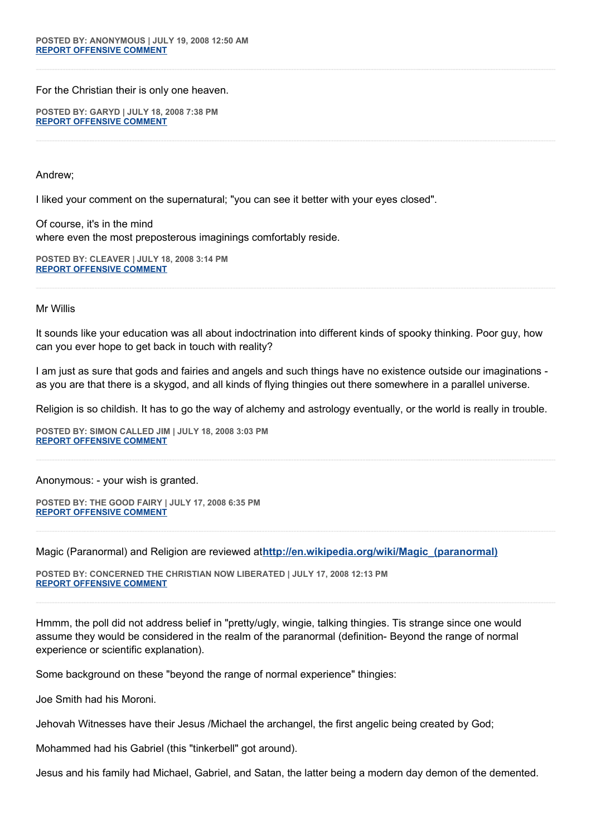For the Christian their is only one heaven.

**POSTED BY: GARYD | JULY 18, 2008 7:38 PM [REPORT OFFENSIVE COMMENT](mailto:blogs@washingtonpost.com?subject=On%20Faith%20Panelists%20Blog%20%20%7C%20%20Garyd%20%20%7C%20%20The%20Supernatural%20Is%20What%20the%20Paranormal%20May%20Be:%20Real%20%20%7C%20%204249035&body=%0D%0D%0D%0D%0D================%0D?__mode=view%26_type=comment%26id=4249035%26blog_id=618)**

Andrew;

I liked your comment on the supernatural; "you can see it better with your eyes closed".

Of course, it's in the mind where even the most preposterous imaginings comfortably reside.

**POSTED BY: CLEAVER | JULY 18, 2008 3:14 PM [REPORT OFFENSIVE COMMENT](mailto:blogs@washingtonpost.com?subject=On%20Faith%20Panelists%20Blog%20%20%7C%20%20cleaver%20%20%7C%20%20The%20Supernatural%20Is%20What%20the%20Paranormal%20May%20Be:%20Real%20%20%7C%20%204245805&body=%0D%0D%0D%0D%0D================%0D?__mode=view%26_type=comment%26id=4245805%26blog_id=618)**

Mr Willis

It sounds like your education was all about indoctrination into different kinds of spooky thinking. Poor guy, how can you ever hope to get back in touch with reality?

I am just as sure that gods and fairies and angels and such things have no existence outside our imaginations as you are that there is a skygod, and all kinds of flying thingies out there somewhere in a parallel universe.

Religion is so childish. It has to go the way of alchemy and astrology eventually, or the world is really in trouble.

**POSTED BY: SIMON CALLED JIM | JULY 18, 2008 3:03 PM [REPORT OFFENSIVE COMMENT](mailto:blogs@washingtonpost.com?subject=On%20Faith%20Panelists%20Blog%20%20%7C%20%20simon%20called%20jim%20%20%7C%20%20The%20Supernatural%20Is%20What%20the%20Paranormal%20May%20Be:%20Real%20%20%7C%20%204245639&body=%0D%0D%0D%0D%0D================%0D?__mode=view%26_type=comment%26id=4245639%26blog_id=618)**

Anonymous: - your wish is granted.

**POSTED BY: THE GOOD FAIRY | JULY 17, 2008 6:35 PM [REPORT OFFENSIVE COMMENT](mailto:blogs@washingtonpost.com?subject=On%20Faith%20Panelists%20Blog%20%20%7C%20%20THE%20GOOD%20FAIRY%20%20%7C%20%20The%20Supernatural%20Is%20What%20the%20Paranormal%20May%20Be:%20Real%20%20%7C%20%204232826&body=%0D%0D%0D%0D%0D================%0D?__mode=view%26_type=comment%26id=4232826%26blog_id=618)**

Magic (Paranormal) and Religion are reviewed at**[http://en.wikipedia.org/wiki/Magic\\_\(paranormal\)](http://en.wikipedia.org/wiki/Magic_(paranormal))**

**POSTED BY: CONCERNED THE CHRISTIAN NOW LIBERATED | JULY 17, 2008 12:13 PM [REPORT OFFENSIVE COMMENT](mailto:blogs@washingtonpost.com?subject=On%20Faith%20Panelists%20Blog%20%20%7C%20%20Concerned%20The%20Christian%20Now%20Liberated%20%20%7C%20%20The%20Supernatural%20Is%20What%20the%20Paranormal%20May%20Be:%20Real%20%20%7C%20%204229481&body=%0D%0D%0D%0D%0D================%0D?__mode=view%26_type=comment%26id=4229481%26blog_id=618)**

Hmmm, the poll did not address belief in "pretty/ugly, wingie, talking thingies. Tis strange since one would assume they would be considered in the realm of the paranormal (definition- Beyond the range of normal experience or scientific explanation).

Some background on these "beyond the range of normal experience" thingies:

Joe Smith had his Moroni.

Jehovah Witnesses have their Jesus /Michael the archangel, the first angelic being created by God;

Mohammed had his Gabriel (this "tinkerbell" got around).

Jesus and his family had Michael, Gabriel, and Satan, the latter being a modern day demon of the demented.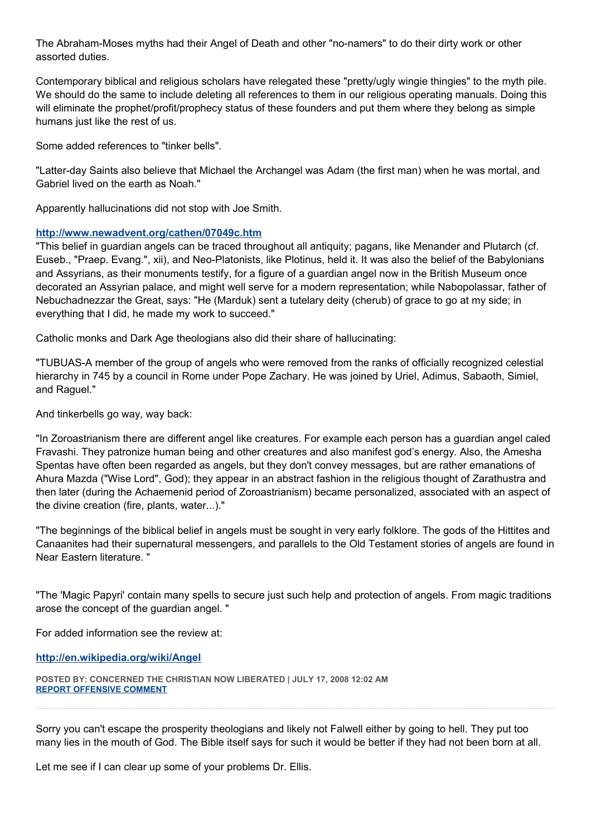The Abraham-Moses myths had their Angel of Death and other "no-namers" to do their dirty work or other assorted duties.

Contemporary biblical and religious scholars have relegated these "pretty/ugly wingie thingies" to the myth pile. We should do the same to include deleting all references to them in our religious operating manuals. Doing this will eliminate the prophet/profit/prophecy status of these founders and put them where they belong as simple humans just like the rest of us.

Some added references to "tinker bells".

"Latter-day Saints also believe that Michael the Archangel was Adam (the first man) when he was mortal, and Gabriel lived on the earth as Noah."

Apparently hallucinations did not stop with Joe Smith.

## **<http://www.newadvent.org/cathen/07049c.htm>**

"This belief in guardian angels can be traced throughout all antiquity; pagans, like Menander and Plutarch (cf. Euseb., "Praep. Evang.", xii), and Neo-Platonists, like Plotinus, held it. It was also the belief of the Babylonians and Assyrians, as their monuments testify, for a figure of a guardian angel now in the British Museum once decorated an Assyrian palace, and might well serve for a modern representation; while Nabopolassar, father of Nebuchadnezzar the Great, says: "He (Marduk) sent a tutelary deity (cherub) of grace to go at my side; in everything that I did, he made my work to succeed."

Catholic monks and Dark Age theologians also did their share of hallucinating:

"TUBUAS-A member of the group of angels who were removed from the ranks of officially recognized celestial hierarchy in 745 by a council in Rome under Pope Zachary. He was joined by Uriel, Adimus, Sabaoth, Simiel, and Raguel."

And tinkerbells go way, way back:

"In Zoroastrianism there are different angel like creatures. For example each person has a guardian angel caled Fravashi. They patronize human being and other creatures and also manifest god's energy. Also, the Amesha Spentas have often been regarded as angels, but they don't convey messages, but are rather emanations of Ahura Mazda ("Wise Lord", God); they appear in an abstract fashion in the religious thought of Zarathustra and then later (during the Achaemenid period of Zoroastrianism) became personalized, associated with an aspect of the divine creation (fire, plants, water...)."

"The beginnings of the biblical belief in angels must be sought in very early folklore. The gods of the Hittites and Canaanites had their supernatural messengers, and parallels to the Old Testament stories of angels are found in Near Eastern literature. "

"The 'Magic Papyri' contain many spells to secure just such help and protection of angels. From magic traditions arose the concept of the guardian angel. "

For added information see the review at:

**<http://en.wikipedia.org/wiki/Angel>**

**POSTED BY: CONCERNED THE CHRISTIAN NOW LIBERATED | JULY 17, 2008 12:02 AM [REPORT OFFENSIVE COMMENT](mailto:blogs@washingtonpost.com?subject=On%20Faith%20Panelists%20Blog%20%20%7C%20%20Concerned%20The%20Christian%20Now%20Liberated%20%20%7C%20%20The%20Supernatural%20Is%20What%20the%20Paranormal%20May%20Be:%20Real%20%20%7C%20%204223846&body=%0D%0D%0D%0D%0D================%0D?__mode=view%26_type=comment%26id=4223846%26blog_id=618)**

Sorry you can't escape the prosperity theologians and likely not Falwell either by going to hell. They put too many lies in the mouth of God. The Bible itself says for such it would be better if they had not been born at all.

Let me see if I can clear up some of your problems Dr. Ellis.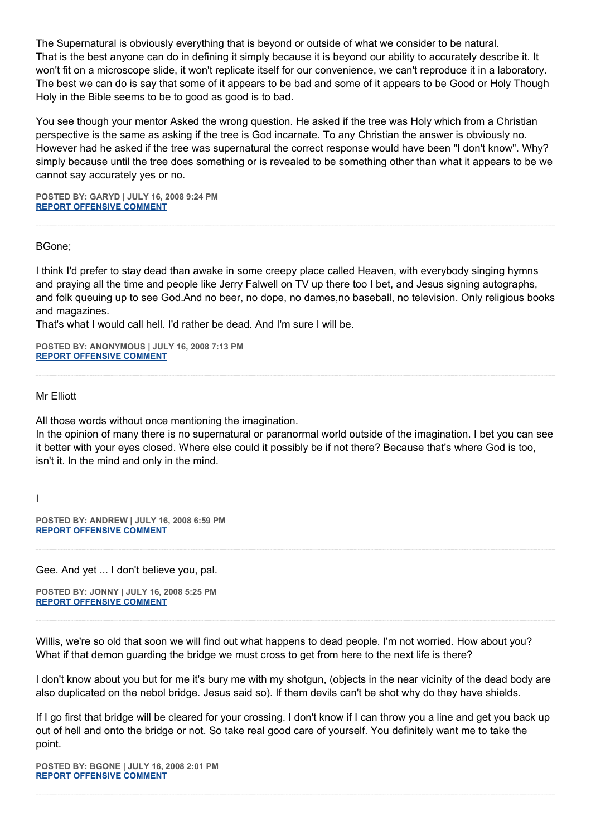The Supernatural is obviously everything that is beyond or outside of what we consider to be natural. That is the best anyone can do in defining it simply because it is beyond our ability to accurately describe it. It won't fit on a microscope slide, it won't replicate itself for our convenience, we can't reproduce it in a laboratory. The best we can do is say that some of it appears to be bad and some of it appears to be Good or Holy Though Holy in the Bible seems to be to good as good is to bad.

You see though your mentor Asked the wrong question. He asked if the tree was Holy which from a Christian perspective is the same as asking if the tree is God incarnate. To any Christian the answer is obviously no. However had he asked if the tree was supernatural the correct response would have been "I don't know". Why? simply because until the tree does something or is revealed to be something other than what it appears to be we cannot say accurately yes or no.

**POSTED BY: GARYD | JULY 16, 2008 9:24 PM [REPORT OFFENSIVE COMMENT](mailto:blogs@washingtonpost.com?subject=On%20Faith%20Panelists%20Blog%20%20%7C%20%20Garyd%20%20%7C%20%20The%20Supernatural%20Is%20What%20the%20Paranormal%20May%20Be:%20Real%20%20%7C%20%204222615&body=%0D%0D%0D%0D%0D================%0D?__mode=view%26_type=comment%26id=4222615%26blog_id=618)**

BGone;

I think I'd prefer to stay dead than awake in some creepy place called Heaven, with everybody singing hymns and praying all the time and people like Jerry Falwell on TV up there too I bet, and Jesus signing autographs, and folk queuing up to see God.And no beer, no dope, no dames,no baseball, no television. Only religious books and magazines.

That's what I would call hell. I'd rather be dead. And I'm sure I will be.

**POSTED BY: ANONYMOUS | JULY 16, 2008 7:13 PM [REPORT OFFENSIVE COMMENT](mailto:blogs@washingtonpost.com?subject=On%20Faith%20Panelists%20Blog%20%20%7C%20%20Anonymous%20%20%7C%20%20The%20Supernatural%20Is%20What%20the%20Paranormal%20May%20Be:%20Real%20%20%7C%20%204221472&body=%0D%0D%0D%0D%0D================%0D?__mode=view%26_type=comment%26id=4221472%26blog_id=618)**

Mr Elliott

All those words without once mentioning the imagination.

In the opinion of many there is no supernatural or paranormal world outside of the imagination. I bet you can see it better with your eyes closed. Where else could it possibly be if not there? Because that's where God is too, isn't it. In the mind and only in the mind.

I

**POSTED BY: ANDREW | JULY 16, 2008 6:59 PM [REPORT OFFENSIVE COMMENT](mailto:blogs@washingtonpost.com?subject=On%20Faith%20Panelists%20Blog%20%20%7C%20%20andrew%20%20%7C%20%20The%20Supernatural%20Is%20What%20the%20Paranormal%20May%20Be:%20Real%20%20%7C%20%204221339&body=%0D%0D%0D%0D%0D================%0D?__mode=view%26_type=comment%26id=4221339%26blog_id=618)**

Gee. And yet ... I don't believe you, pal.

**POSTED BY: JONNY | JULY 16, 2008 5:25 PM [REPORT OFFENSIVE COMMENT](mailto:blogs@washingtonpost.com?subject=On%20Faith%20Panelists%20Blog%20%20%7C%20%20jonny%20%20%7C%20%20The%20Supernatural%20Is%20What%20the%20Paranormal%20May%20Be:%20Real%20%20%7C%20%204220602&body=%0D%0D%0D%0D%0D================%0D?__mode=view%26_type=comment%26id=4220602%26blog_id=618)**

Willis, we're so old that soon we will find out what happens to dead people. I'm not worried. How about you? What if that demon guarding the bridge we must cross to get from here to the next life is there?

I don't know about you but for me it's bury me with my shotgun, (objects in the near vicinity of the dead body are also duplicated on the nebol bridge. Jesus said so). If them devils can't be shot why do they have shields.

If I go first that bridge will be cleared for your crossing. I don't know if I can throw you a line and get you back up out of hell and onto the bridge or not. So take real good care of yourself. You definitely want me to take the point.

**POSTED BY: BGONE | JULY 16, 2008 2:01 PM [REPORT OFFENSIVE COMMENT](mailto:blogs@washingtonpost.com?subject=On%20Faith%20Panelists%20Blog%20%20%7C%20%20BGone%20%20%7C%20%20The%20Supernatural%20Is%20What%20the%20Paranormal%20May%20Be:%20Real%20%20%7C%20%204218775&body=%0D%0D%0D%0D%0D================%0D?__mode=view%26_type=comment%26id=4218775%26blog_id=618)**